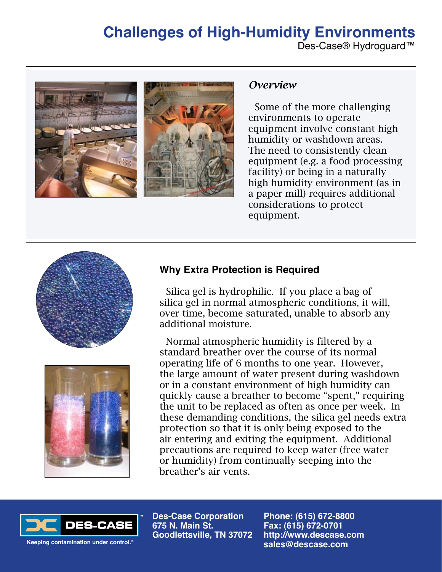## **Challenges of High-Humidity Environments**

Des-Case® Hydroguard™



### *Overview*

Some of the more challenging environments to operate equipment involve constant high humidity or washdown areas. The need to consistently clean equipment (e.g. a food processing facility) or being in a naturally high humidity environment (as in a paper mill) requires additional considerations to protect equipment.





## **Why Extra Protection is Required**

Silica gel is hydrophilic. If you place a bag of silica gel in normal atmospheric conditions, it will, over time, become saturated, unable to absorb any additional moisture.

Normal atmospheric humidity is filtered by a standard breather over the course of its normal operating life of 6 months to one year. However, the large amount of water present during washdown or in a constant environment of high humidity can quickly cause a breather to become "spent," requiring the unit to be replaced as often as once per week. In these demanding conditions, the silica gel needs extra protection so that it is only being exposed to the air entering and exiting the equipment. Additional precautions are required to keep water (free water or humidity) from continually seeping into the breather's air vents.



**Des-Case Corporation 675 N. Main St. Goodlettsville, TN 37072** **Phone: (615) 672-8800 Fax: (615) 672-0701 http://www.descase.com sales@descase.com**